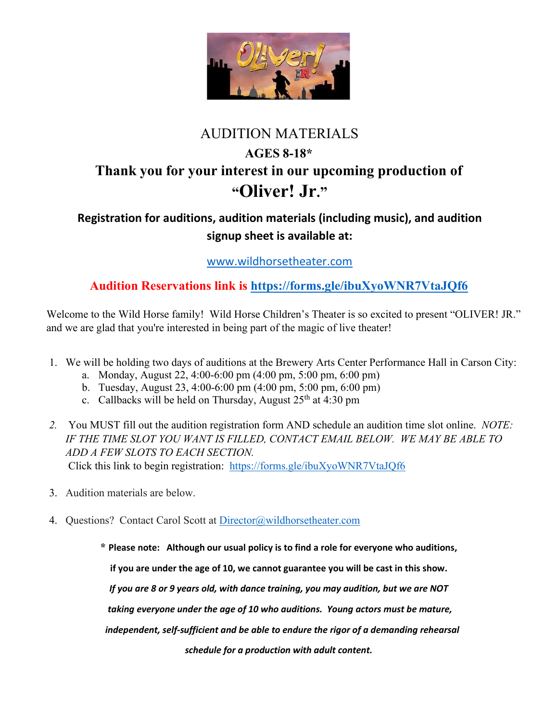

# AUDITION MATERIALS

# **AGES 8-18\***

# **Thank you for your interest in our upcoming production of "Oliver! Jr."**

# **Registration for auditions, audition materials (including music), and audition signup sheet is available at:**

[www.wildhorsetheater.com](http://www.wildhorsetheater.com/) 

**Audition Reservations link is<https://forms.gle/ibuXyoWNR7VtaJQf6>**

Welcome to the Wild Horse family! Wild Horse Children's Theater is so excited to present "OLIVER! JR." and we are glad that you're interested in being part of the magic of live theater!

- 1. We will be holding two days of auditions at the Brewery Arts Center Performance Hall in Carson City:
	- a. Monday, August 22, 4:00-6:00 pm (4:00 pm, 5:00 pm, 6:00 pm)
	- b. Tuesday, August 23, 4:00-6:00 pm (4:00 pm, 5:00 pm, 6:00 pm)
	- c. Callbacks will be held on Thursday, August  $25<sup>th</sup>$  at 4:30 pm
- *2.* You MUST fill out the audition registration form AND schedule an audition time slot online. *NOTE: IF THE TIME SLOT YOU WANT IS FILLED, CONTACT EMAIL BELOW. WE MAY BE ABLE TO ADD A FEW SLOTS TO EACH SECTION.* Click this link to begin registration: <https://forms.gle/ibuXyoWNR7VtaJQf6>
- 3. Audition materials are below.
- 4. Questions? Contact Carol Scott at [Director@wildhorsetheater.com](mailto:Director@wildhorsetheater.com)

**\* Please note: Although our usual policy is to find a role for everyone who auditions,**

**if you are under the age of 10, we cannot guarantee you will be cast in this show.**

*If you are 8 or 9 years old, with dance training, you may audition, but we are NOT*

*taking everyone under the age of 10 who auditions. Young actors must be mature,*

 *independent, self-sufficient and be able to endure the rigor of a demanding rehearsal*

*schedule for a production with adult content.*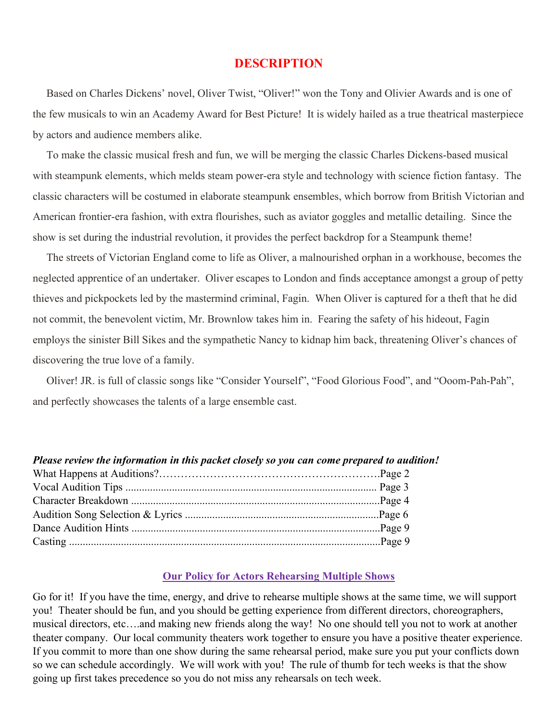#### **DESCRIPTION**

 Based on Charles Dickens' novel, Oliver Twist, "Oliver!" won the Tony and Olivier Awards and is one of the few musicals to win an Academy Award for Best Picture! It is widely hailed as a true theatrical masterpiece by actors and audience members alike.

 To make the classic musical fresh and fun, we will be merging the classic Charles Dickens-based musical with steampunk elements, which melds steam power-era style and technology with science fiction fantasy. The classic characters will be costumed in elaborate steampunk ensembles, which borrow from British Victorian and American frontier-era fashion, with extra flourishes, such as aviator goggles and metallic detailing. Since the show is set during the industrial revolution, it provides the perfect backdrop for a Steampunk theme!

 The streets of Victorian England come to life as Oliver, a malnourished orphan in a workhouse, becomes the neglected apprentice of an undertaker. Oliver escapes to London and finds acceptance amongst a group of petty thieves and pickpockets led by the mastermind criminal, Fagin. When Oliver is captured for a theft that he did not commit, the benevolent victim, Mr. Brownlow takes him in. Fearing the safety of his hideout, Fagin employs the sinister Bill Sikes and the sympathetic Nancy to kidnap him back, threatening Oliver's chances of discovering the true love of a family.

 Oliver! JR. is full of classic songs like "Consider Yourself", "Food Glorious Food", and "Ooom-Pah-Pah", and perfectly showcases the talents of a large ensemble cast.

#### *Please review the information in this packet closely so you can come prepared to audition!*

#### **Our Policy for Actors Rehearsing Multiple Shows**

Go for it! If you have the time, energy, and drive to rehearse multiple shows at the same time, we will support you! Theater should be fun, and you should be getting experience from different directors, choreographers, musical directors, etc….and making new friends along the way! No one should tell you not to work at another theater company. Our local community theaters work together to ensure you have a positive theater experience. If you commit to more than one show during the same rehearsal period, make sure you put your conflicts down so we can schedule accordingly. We will work with you! The rule of thumb for tech weeks is that the show going up first takes precedence so you do not miss any rehearsals on tech week.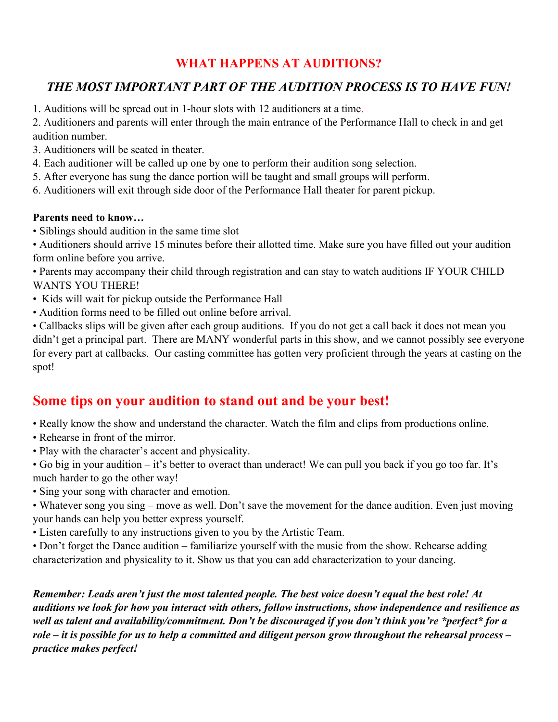# **WHAT HAPPENS AT AUDITIONS?**

# *THE MOST IMPORTANT PART OF THE AUDITION PROCESS IS TO HAVE FUN!*

1. Auditions will be spread out in 1-hour slots with 12 auditioners at a time.

2. Auditioners and parents will enter through the main entrance of the Performance Hall to check in and get audition number.

- 3. Auditioners will be seated in theater.
- 4. Each auditioner will be called up one by one to perform their audition song selection.
- 5. After everyone has sung the dance portion will be taught and small groups will perform.
- 6. Auditioners will exit through side door of the Performance Hall theater for parent pickup.

#### **Parents need to know…**

• Siblings should audition in the same time slot

• Auditioners should arrive 15 minutes before their allotted time. Make sure you have filled out your audition form online before you arrive.

• Parents may accompany their child through registration and can stay to watch auditions IF YOUR CHILD WANTS YOU THERE!

- Kids will wait for pickup outside the Performance Hall
- Audition forms need to be filled out online before arrival.

• Callbacks slips will be given after each group auditions. If you do not get a call back it does not mean you didn't get a principal part. There are MANY wonderful parts in this show, and we cannot possibly see everyone for every part at callbacks. Our casting committee has gotten very proficient through the years at casting on the spot!

# **Some tips on your audition to stand out and be your best!**

- Really know the show and understand the character. Watch the film and clips from productions online.
- Rehearse in front of the mirror.
- Play with the character's accent and physicality.
- Go big in your audition it's better to overact than underact! We can pull you back if you go too far. It's much harder to go the other way!
- Sing your song with character and emotion.

• Whatever song you sing – move as well. Don't save the movement for the dance audition. Even just moving your hands can help you better express yourself.

- Listen carefully to any instructions given to you by the Artistic Team.
- Don't forget the Dance audition familiarize yourself with the music from the show. Rehearse adding characterization and physicality to it. Show us that you can add characterization to your dancing.

*Remember: Leads aren't just the most talented people. The best voice doesn't equal the best role! At auditions we look for how you interact with others, follow instructions, show independence and resilience as well as talent and availability/commitment. Don't be discouraged if you don't think you're \*perfect\* for a role – it is possible for us to help a committed and diligent person grow throughout the rehearsal process – practice makes perfect!*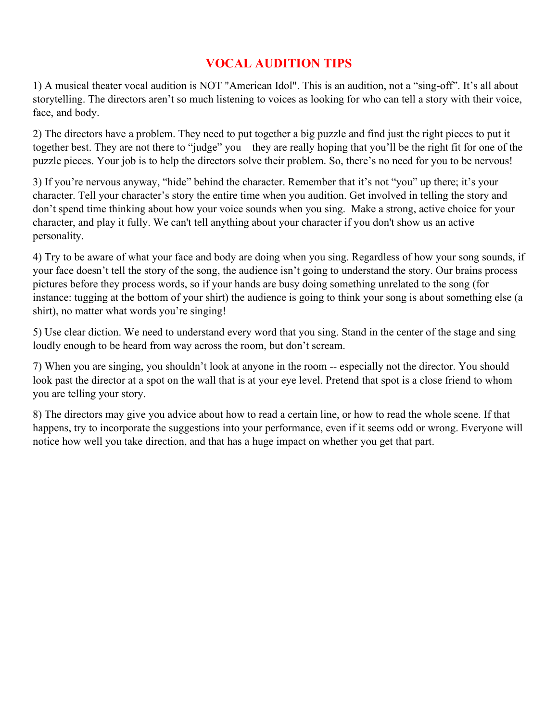# **VOCAL AUDITION TIPS**

1) A musical theater vocal audition is NOT "American Idol". This is an audition, not a "sing-off". It's all about storytelling. The directors aren't so much listening to voices as looking for who can tell a story with their voice, face, and body.

2) The directors have a problem. They need to put together a big puzzle and find just the right pieces to put it together best. They are not there to "judge" you – they are really hoping that you'll be the right fit for one of the puzzle pieces. Your job is to help the directors solve their problem. So, there's no need for you to be nervous!

3) If you're nervous anyway, "hide" behind the character. Remember that it's not "you" up there; it's your character. Tell your character's story the entire time when you audition. Get involved in telling the story and don't spend time thinking about how your voice sounds when you sing. Make a strong, active choice for your character, and play it fully. We can't tell anything about your character if you don't show us an active personality.

4) Try to be aware of what your face and body are doing when you sing. Regardless of how your song sounds, if your face doesn't tell the story of the song, the audience isn't going to understand the story. Our brains process pictures before they process words, so if your hands are busy doing something unrelated to the song (for instance: tugging at the bottom of your shirt) the audience is going to think your song is about something else (a shirt), no matter what words you're singing!

5) Use clear diction. We need to understand every word that you sing. Stand in the center of the stage and sing loudly enough to be heard from way across the room, but don't scream.

7) When you are singing, you shouldn't look at anyone in the room -- especially not the director. You should look past the director at a spot on the wall that is at your eye level. Pretend that spot is a close friend to whom you are telling your story.

8) The directors may give you advice about how to read a certain line, or how to read the whole scene. If that happens, try to incorporate the suggestions into your performance, even if it seems odd or wrong. Everyone will notice how well you take direction, and that has a huge impact on whether you get that part.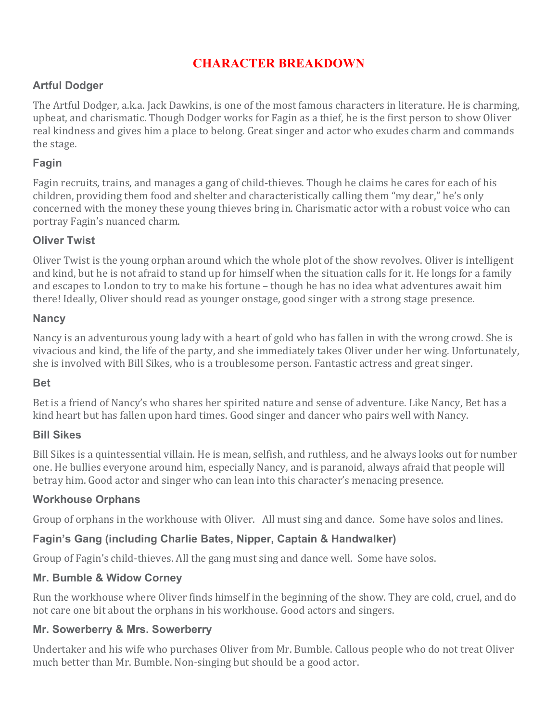# **CHARACTER BREAKDOWN**

## **Artful Dodger**

The Artful Dodger, a.k.a. Jack Dawkins, is one of the most famous characters in literature. He is charming, upbeat, and charismatic. Though Dodger works for Fagin as a thief, he is the first person to show Oliver real kindness and gives him a place to belong. Great singer and actor who exudes charm and commands the stage.

### **Fagin**

Fagin recruits, trains, and manages a gang of child-thieves. Though he claims he cares for each of his children, providing them food and shelter and characteristically calling them "my dear," he's only concerned with the money these young thieves bring in. Charismatic actor with a robust voice who can portray Fagin's nuanced charm.

### **Oliver Twist**

Oliver Twist is the young orphan around which the whole plot of the show revolves. Oliver is intelligent and kind, but he is not afraid to stand up for himself when the situation calls for it. He longs for a family and escapes to London to try to make his fortune – though he has no idea what adventures await him there! Ideally, Oliver should read as younger onstage, good singer with a strong stage presence.

### **Nancy**

Nancy is an adventurous young lady with a heart of gold who has fallen in with the wrong crowd. She is vivacious and kind, the life of the party, and she immediately takes Oliver under her wing. Unfortunately, she is involved with Bill Sikes, who is a troublesome person. Fantastic actress and great singer.

### **Bet**

Bet is a friend of Nancy's who shares her spirited nature and sense of adventure. Like Nancy, Bet has a kind heart but has fallen upon hard times. Good singer and dancer who pairs well with Nancy.

### **Bill Sikes**

Bill Sikes is a quintessential villain. He is mean, selfish, and ruthless, and he always looks out for number one. He bullies everyone around him, especially Nancy, and is paranoid, always afraid that people will betray him. Good actor and singer who can lean into this character's menacing presence.

### **Workhouse Orphans**

Group of orphans in the workhouse with Oliver. All must sing and dance. Some have solos and lines.

### **Fagin's Gang (including Charlie Bates, Nipper, Captain & Handwalker)**

Group of Fagin's child-thieves. All the gang must sing and dance well. Some have solos.

### **Mr. Bumble & Widow Corney**

Run the workhouse where Oliver finds himself in the beginning of the show. They are cold, cruel, and do not care one bit about the orphans in his workhouse. Good actors and singers.

### **Mr. Sowerberry & Mrs. Sowerberry**

Undertaker and his wife who purchases Oliver from Mr. Bumble. Callous people who do not treat Oliver much better than Mr. Bumble. Non-singing but should be a good actor.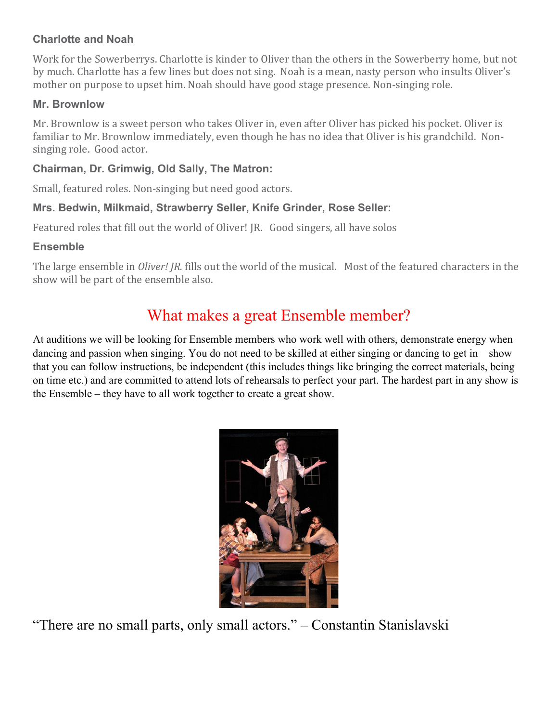## **Charlotte and Noah**

Work for the Sowerberrys. Charlotte is kinder to Oliver than the others in the Sowerberry home, but not by much. Charlotte has a few lines but does not sing. Noah is a mean, nasty person who insults Oliver's mother on purpose to upset him. Noah should have good stage presence. Non-singing role.

### **Mr. Brownlow**

Mr. Brownlow is a sweet person who takes Oliver in, even after Oliver has picked his pocket. Oliver is familiar to Mr. Brownlow immediately, even though he has no idea that Oliver is his grandchild. Nonsinging role. Good actor.

## **Chairman, Dr. Grimwig, Old Sally, The Matron:**

Small, featured roles. Non-singing but need good actors.

## **Mrs. Bedwin, Milkmaid, Strawberry Seller, Knife Grinder, Rose Seller:**

Featured roles that fill out the world of Oliver! JR. Good singers, all have solos

### **Ensemble**

The large ensemble in *Oliver! JR.* fills out the world of the musical. Most of the featured characters in the show will be part of the ensemble also.

# What makes a great Ensemble member?

At auditions we will be looking for Ensemble members who work well with others, demonstrate energy when dancing and passion when singing. You do not need to be skilled at either singing or dancing to get in – show that you can follow instructions, be independent (this includes things like bringing the correct materials, being on time etc.) and are committed to attend lots of rehearsals to perfect your part. The hardest part in any show is the Ensemble – they have to all work together to create a great show.



"There are no small parts, only small actors." – Constantin Stanislavski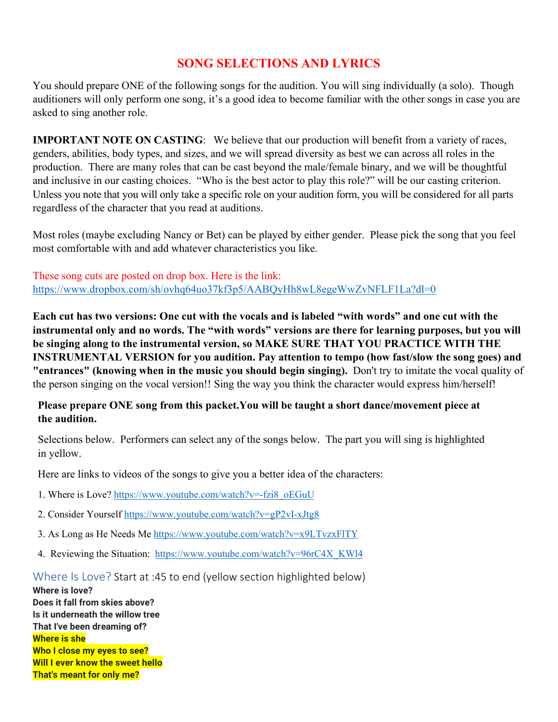## **SONG SELECTIONS AND LYRICS**

You should prepare ONE of the following songs for the audition. You will sing individually (a solo). Though auditioners will only perform one song, it's a good idea to become familiar with the other songs in case you are asked to sing another role.

**IMPORTANT NOTE ON CASTING:** We believe that our production will benefit from a variety of races, genders, abilities, body types, and sizes, and we will spread diversity as best we can across all roles in the production. There are many roles that can be cast beyond the male/female binary, and we will be thoughtful and inclusive in our casting choices. "Who is the best actor to play this role?" will be our casting criterion. Unless you note that you will only take a specific role on your audition form, you will be considered for all parts regardless of the character that you read at auditions.

Most roles (maybe excluding Nancy or Bet) can be played by either gender. Please pick the song that you feel most comfortable with and add whatever characteristics you like.

These song cuts are posted on drop box. Here is the link: <https://www.dropbox.com/sh/ovhq64uo37kf3p5/AABQyHh8wL8egeWwZvNFLF1La?dl=0>

**Each cut has two versions: One cut with the vocals and is labeled "with words" and one cut with the instrumental only and no words. The "with words" versions are there for learning purposes, but you will be singing along to the instrumental version, so MAKE SURE THAT YOU PRACTICE WITH THE INSTRUMENTAL VERSION for you audition. Pay attention to tempo (how fast/slow the song goes) and "entrances" (knowing when in the music you should begin singing).** Don't try to imitate the vocal quality of the person singing on the vocal version!! Sing the way you think the character would express him/herself!

#### **Please prepare ONE song from this packet.You will be taught a short dance/movement piece at the audition.**

Selections below. Performers can select any of the songs below. The part you will sing is highlighted in yellow.

Here are links to videos of the songs to give you a better idea of the characters:

- 1. Where is Love? [https://www.youtube.com/watch?v=-fzi8\\_oEGuU](https://www.youtube.com/watch?v=-fzi8_oEGuU)
- 2. Consider Yourself<https://www.youtube.com/watch?v=gP2vI-xJtg8>
- 3. As Long as He Needs Me<https://www.youtube.com/watch?v=x9LTvzxFlTY>
- 4. Reviewing the Situation: https://www.youtube.com/watch?v=96rC4X KWl4

Where Is Love? Start at :45 to end (yellow section highlighted below)

**Where is love? Does it fall from skies above? Is it underneath the willow tree That I've been dreaming of? Where is she Who I close my eyes to see? Will I ever know the sweet hello That's meant for only me?**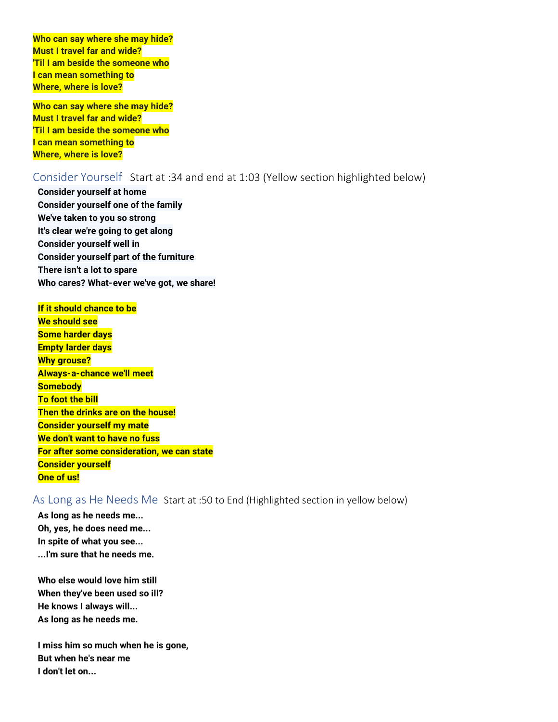**Who can say where she may hide? Must I travel far and wide? 'Til I am beside the someone who I can mean something to Where, where is love?**

**Who can say where she may hide? Must I travel far and wide? 'Til I am beside the someone who I can mean something to Where, where is love?**

#### Consider Yourself Start at :34 and end at 1:03 (Yellow section highlighted below)

**Consider yourself at home Consider yourself one of the family We've taken to you so strong It's clear we're going to get along Consider yourself well in Consider yourself part of the furniture There isn't a lot to spare Who cares? What-ever we've got, we share!**

**If it should chance to be We should see Some harder days Empty larder days Why grouse? Always-a-chance we'll meet Somebody To foot the bill Then the drinks are on the house! Consider yourself my mate We don't want to have no fuss For after some consideration, we can state Consider yourself One of us!**

#### As Long as He Needs Me Start at :50 to End (Highlighted section in yellow below)

**As long as he needs me... Oh, yes, he does need me... In spite of what you see... ...I'm sure that he needs me.**

**Who else would love him still When they've been used so ill? He knows I always will... As long as he needs me.**

**I miss him so much when he is gone, But when he's near me I don't let on...**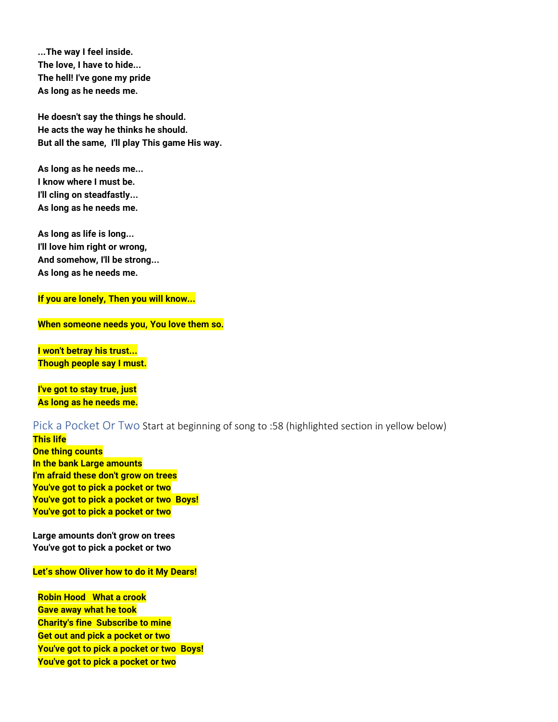**...The way I feel inside. The love, I have to hide... The hell! I've gone my pride As long as he needs me.**

**He doesn't say the things he should. He acts the way he thinks he should. But all the same, I'll play This game His way.**

**As long as he needs me... I know where I must be. I'll cling on steadfastly... As long as he needs me.**

**As long as life is long... I'll love him right or wrong, And somehow, I'll be strong... As long as he needs me.**

#### **If you are lonely, Then you will know...**

#### **When someone needs you, You love them so.**

**I won't betray his trust... Though people say I must.**

**I've got to stay true, just As long as he needs me.**

#### Pick a Pocket Or Two Start at beginning of song to :58 (highlighted section in yellow below)

**This life One thing counts In the bank Large amounts I'm afraid these don't grow on trees You've got to pick a pocket or two You've got to pick a pocket or two Boys! You've got to pick a pocket or two**

**Large amounts don't grow on trees You've got to pick a pocket or two**

**Let's show Oliver how to do it My Dears!**

**Robin Hood What a crook Gave away what he took Charity's fine Subscribe to mine Get out and pick a pocket or two You've got to pick a pocket or two Boys! You've got to pick a pocket or two**